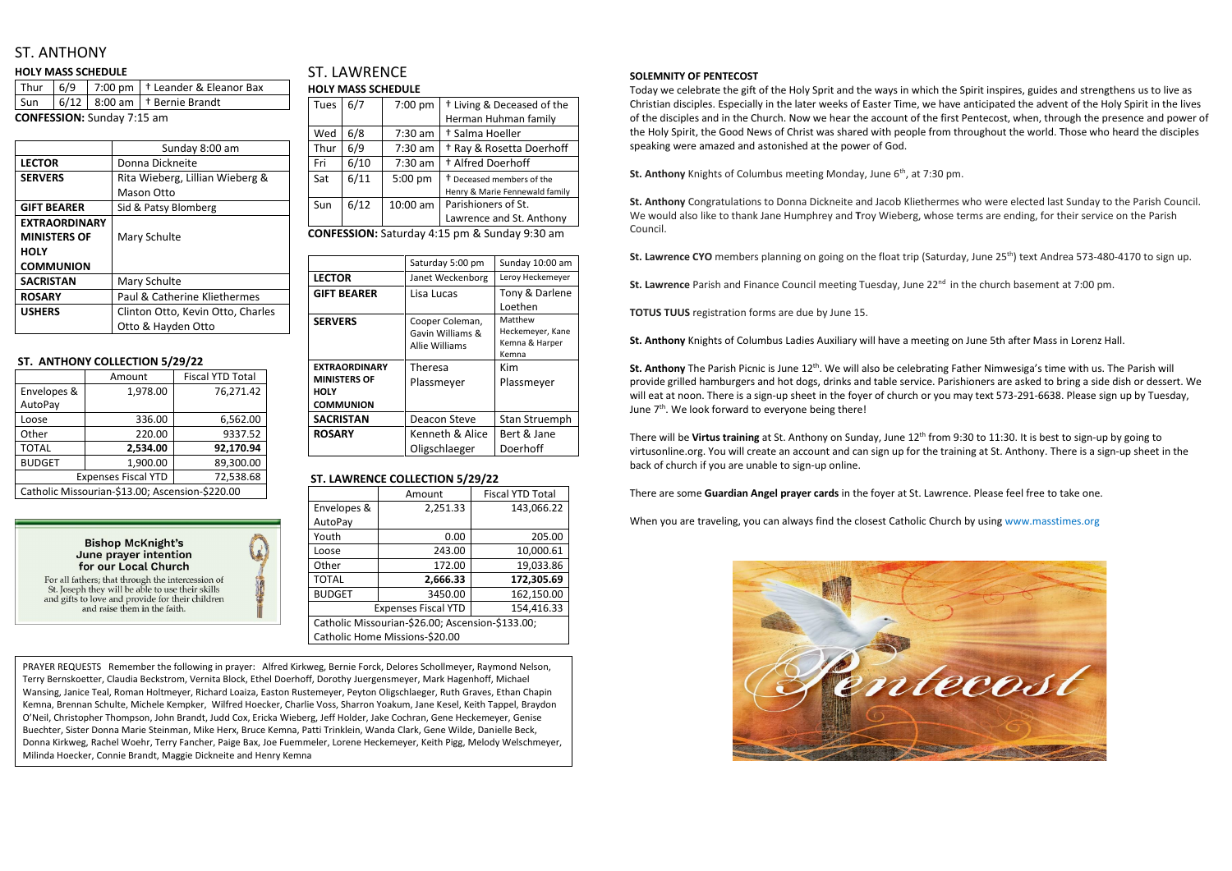## ST. ANTHONY

#### **HOLY MASS SCHEDULE**

|  | $\sqrt{5}$ un $\sqrt{6}/12$ 8:00 am $\pm$ Bernie Brandt |
|--|---------------------------------------------------------|
|  |                                                         |

**CONFESSION:** Sunday 7:15 am

|                      | Sunday 8:00 am                    |
|----------------------|-----------------------------------|
| <b>LECTOR</b>        | Donna Dickneite                   |
| <b>SERVERS</b>       | Rita Wieberg, Lillian Wieberg &   |
|                      | <b>Mason Otto</b>                 |
| <b>GIFT BEARER</b>   | Sid & Patsy Blomberg              |
| <b>EXTRAORDINARY</b> |                                   |
| <b>MINISTERS OF</b>  | Mary Schulte                      |
| <b>HOLY</b>          |                                   |
| <b>COMMUNION</b>     |                                   |
| <b>SACRISTAN</b>     | Mary Schulte                      |
| <b>ROSARY</b>        | Paul & Catherine Kliethermes      |
| <b>USHERS</b>        | Clinton Otto, Kevin Otto, Charles |
|                      | Otto & Hayden Otto                |

#### **ST. ANTHONY COLLECTION 5/29/22**

|                                                 | Amount   | <b>Fiscal YTD Total</b> |  |
|-------------------------------------------------|----------|-------------------------|--|
| Envelopes &                                     | 1,978.00 | 76,271.42               |  |
| AutoPay                                         |          |                         |  |
| Loose                                           | 336.00   | 6,562.00                |  |
| Other                                           | 220.00   | 9337.52                 |  |
| <b>TOTAL</b>                                    | 2,534.00 | 92,170.94               |  |
| <b>BUDGET</b>                                   | 1,900.00 | 89,300.00               |  |
| <b>Expenses Fiscal YTD</b>                      |          | 72,538.68               |  |
| Catholic Missourian-\$13.00; Ascension-\$220.00 |          |                         |  |

**Bishop McKnight's** June praver intention for our Local Church

For all fathers; that through the intercession of St. Joseph they will be able to use their skills and gifts to love and provide for their children and raise them in the faith.



### ST. LAWRENCE **HOLY MASS SCHEDULE**

| Tues | 6/7  | 7:00 pm   | <sup>†</sup> Living & Deceased of the |
|------|------|-----------|---------------------------------------|
|      |      |           | Herman Huhman family                  |
| Wed  | 6/8  | $7:30$ am | † Salma Hoeller                       |
| Thur | 6/9  | $7:30$ am | <sup>†</sup> Ray & Rosetta Doerhoff   |
| Fri  | 6/10 | $7:30$ am | <sup>+</sup> Alfred Doerhoff          |
| Sat  | 6/11 | 5:00 pm   | <sup>†</sup> Deceased members of the  |
|      |      |           | Henry & Marie Fennewald family        |
| Sun  | 6/12 | 10:00 am  | Parishioners of St.                   |
|      |      |           | Lawrence and St. Anthony              |

**CONFESSION:** Saturday 4:15 pm & Sunday 9:30 am

|                                                        | Saturday 5:00 pm                                      | Sunday 10:00 am                                        |
|--------------------------------------------------------|-------------------------------------------------------|--------------------------------------------------------|
| <b>LECTOR</b>                                          | Janet Weckenborg                                      | Leroy Heckemeyer                                       |
| <b>GIFT BEARER</b>                                     | Lisa Lucas                                            | Tony & Darlene                                         |
|                                                        |                                                       | Loethen                                                |
| <b>SERVERS</b>                                         | Cooper Coleman,<br>Gavin Williams &<br>Allie Williams | Matthew<br>Heckemeyer, Kane<br>Kemna & Harper<br>Kemna |
| <b>EXTRAORDINARY</b>                                   | <b>Theresa</b>                                        | Kim                                                    |
| <b>MINISTERS OF</b><br><b>HOLY</b><br><b>COMMUNION</b> | Plassmeyer                                            | Plassmeyer                                             |
| <b>SACRISTAN</b>                                       | Deacon Steve                                          | Stan Struemph                                          |
| <b>ROSARY</b>                                          | Kenneth & Alice<br>Oligschlaeger                      | Bert & Jane<br>Doerhoff                                |

#### **ST. LAWRENCE COLLECTION 5/29/22**

|                                                  | Amount   | <b>Fiscal YTD Total</b> |
|--------------------------------------------------|----------|-------------------------|
| Envelopes &                                      | 2,251.33 | 143,066.22              |
| AutoPay                                          |          |                         |
| Youth                                            | 0.00     | 205.00                  |
| Loose                                            | 243.00   | 10,000.61               |
| Other                                            | 172.00   | 19,033.86               |
| <b>TOTAL</b>                                     | 2,666.33 | 172,305.69              |
| <b>BUDGET</b>                                    | 3450.00  | 162,150.00              |
| 154,416.33<br><b>Expenses Fiscal YTD</b>         |          |                         |
| Catholic Missourian-\$26.00; Ascension-\$133.00; |          |                         |
| Catholic Home Missions-\$20.00                   |          |                         |

#### **SOLEMNITY OF PENTECOST**

Today we celebrate the gift of the Holy Sprit and the ways in which the Spirit inspires, guides and strengthens us to live as Christian disciples. Especially in the later weeks of Easter Time, we have anticipated the advent of the Holy Spirit in the lives of the disciples and in the Church. Now we hear the account of the first Pentecost, when, through the presence and power of the Holy Spirit, the Good News of Christ was shared with people from throughout the world. Those who heard the disciples speaking were amazed and astonished at the power of God.

**St. Anthony** Knights of Columbus meeting Monday, June 6<sup>th</sup>, at 7:30 pm.

**St. Anthony** Congratulations to Donna Dickneite and Jacob Kliethermes who were elected last Sunday to the Parish Council. We would also like to thank Jane Humphrey and **T**roy Wieberg, whose terms are ending, for their service on the Parish Council.

**St. Lawrence CYO** members planning on going on the float trip (Saturday, June 25<sup>th</sup>) text Andrea 573-480-4170 to sign up.

**St. Lawrence** Parish and Finance Council meeting Tuesday, June 22<sup>nd</sup> in the church basement at 7:00 pm.

**TOTUS TUUS** registration forms are due by June 15.

**St. Anthony** Knights of Columbus Ladies Auxiliary will have a meeting on June 5th after Mass in Lorenz Hall.

St. Anthony The Parish Picnic is June 12<sup>th</sup>. We will also be celebrating Father Nimwesiga's time with us. The Parish will provide grilled hamburgers and hot dogs, drinks and table service. Parishioners are asked to bring a side dish or dessert. We will eat at noon. There is a sign-up sheet in the foyer of church or you may text 573-291-6638. Please sign up by Tuesday, June 7<sup>th</sup>. We look forward to everyone being there!

There will be **Virtus training** at St. Anthony on Sunday, June 12th from 9:30 to 11:30. It is best to sign-up by going to virtusonline.org. You will create an account and can sign up for the training at St. Anthony. There is a sign-up sheet in the back of church if you are unable to sign-up online.

There are some **Guardian Angel prayer cards** in the foyer at St. Lawrence. Please feel free to take one.

When you are traveling, you can always find the closest Catholic Church by using www.masstimes.org



PRAYER REQUESTS Remember the following in prayer: Alfred Kirkweg, Bernie Forck, Delores Schollmeyer, Raymond Nelson, Terry Bernskoetter, Claudia Beckstrom, Vernita Block, Ethel Doerhoff, Dorothy Juergensmeyer, Mark Hagenhoff, Michael Wansing, Janice Teal, Roman Holtmeyer, Richard Loaiza, Easton Rustemeyer, Peyton Oligschlaeger, Ruth Graves, Ethan Chapin Kemna, Brennan Schulte, Michele Kempker, Wilfred Hoecker, Charlie Voss, Sharron Yoakum, Jane Kesel, Keith Tappel, Braydon O'Neil, Christopher Thompson, John Brandt, Judd Cox, Ericka Wieberg, Jeff Holder, Jake Cochran, Gene Heckemeyer, Genise Buechter, Sister Donna Marie Steinman, Mike Herx, Bruce Kemna, Patti Trinklein, Wanda Clark, Gene Wilde, Danielle Beck, Donna Kirkweg, Rachel Woehr, Terry Fancher, Paige Bax, Joe Fuemmeler, Lorene Heckemeyer, Keith Pigg, Melody Welschmeyer, Milinda Hoecker, Connie Brandt, Maggie Dickneite and Henry Kemna